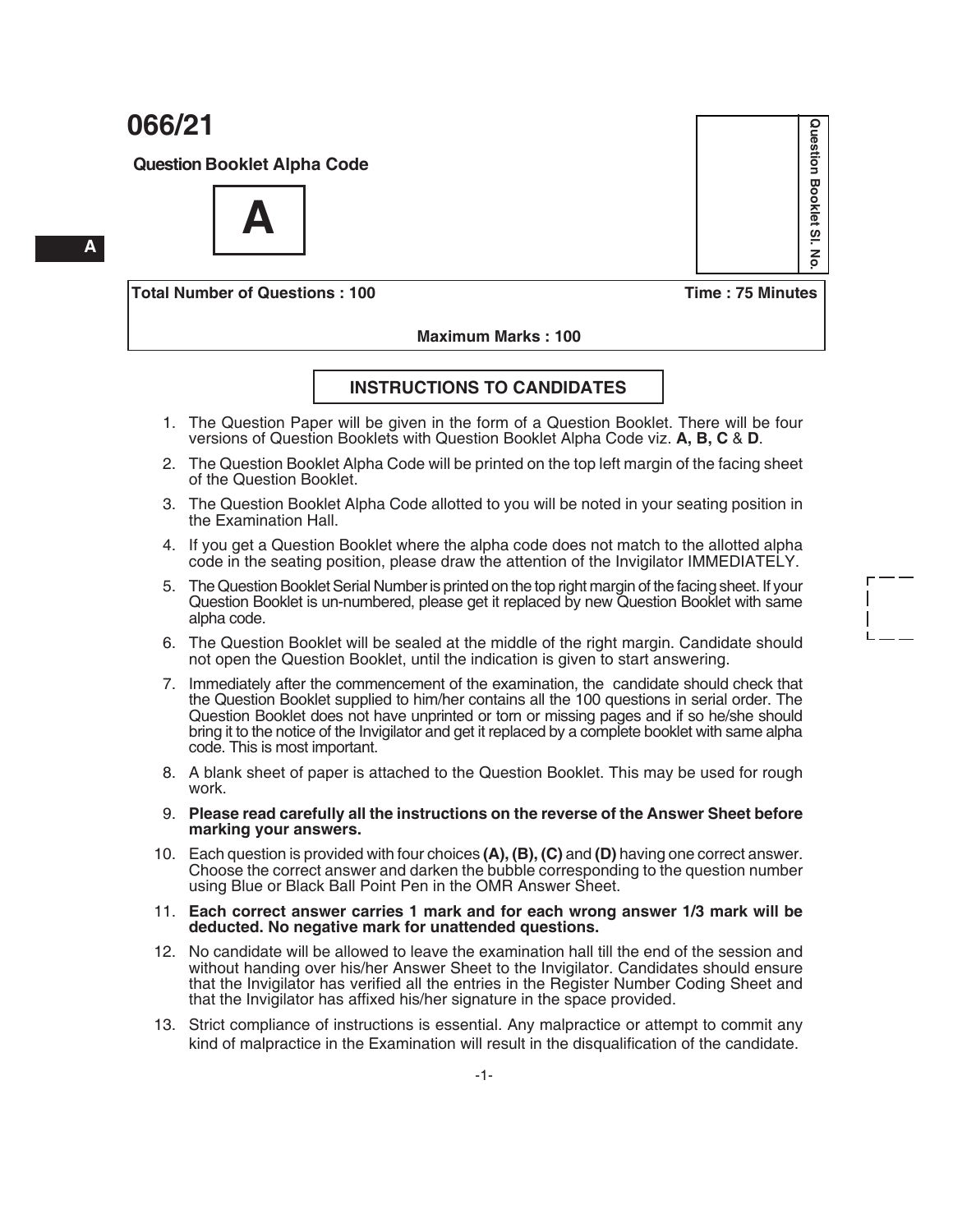**Question Booklet Alpha Code**



**Total Number of Questions : 100 Time : 75 Minutes**

**Question Booklet Sl. No.**

 $\overline{\omega}$  $\mathbf{z}$ 

Question Booklet

#### **Maximum Marks : 100**

#### **INSTRUCTIONS TO CANDIDATES**

- 1. The Question Paper will be given in the form of a Question Booklet. There will be four versions of Question Booklets with Question Booklet Alpha Code viz. **A, B, C** & **D**.
- 2. The Question Booklet Alpha Code will be printed on the top left margin of the facing sheet of the Question Booklet.
- 3. The Question Booklet Alpha Code allotted to you will be noted in your seating position in the Examination Hall.
- 4. If you get a Question Booklet where the alpha code does not match to the allotted alpha code in the seating position, please draw the attention of the Invigilator IMMEDIATELY.
- 5. The Question Booklet Serial Number is printed on the top right margin of the facing sheet. If your Question Booklet is un-numbered, please get it replaced by new Question Booklet with same alpha code.
- 6. The Question Booklet will be sealed at the middle of the right margin. Candidate should not open the Question Booklet, until the indication is given to start answering.
- 7. Immediately after the commencement of the examination, the candidate should check that the Question Booklet supplied to him/her contains all the 100 questions in serial order. The Question Booklet does not have unprinted or torn or missing pages and if so he/she should bring it to the notice of the Invigilator and get it replaced by a complete booklet with same alpha code. This is most important.
- 8. A blank sheet of paper is attached to the Question Booklet. This may be used for rough work.
- 9. **Please read carefully all the instructions on the reverse of the Answer Sheet before marking your answers.**
- 10. Each question is provided with four choices **(A), (B), (C)** and **(D)** having one correct answer. Choose the correct answer and darken the bubble corresponding to the question number using Blue or Black Ball Point Pen in the OMR Answer Sheet.
- 11. **Each correct answer carries 1 mark and for each wrong answer 1/3 mark will be deducted. No negative mark for unattended questions.**
- 12. No candidate will be allowed to leave the examination hall till the end of the session and without handing over his/her Answer Sheet to the Invigilator. Candidates should ensure that the Invigilator has verified all the entries in the Register Number Coding Sheet and that the Invigilator has affixed his/her signature in the space provided.
- 13. Strict compliance of instructions is essential. Any malpractice or attempt to commit any kind of malpractice in the Examination will result in the disqualification of the candidate.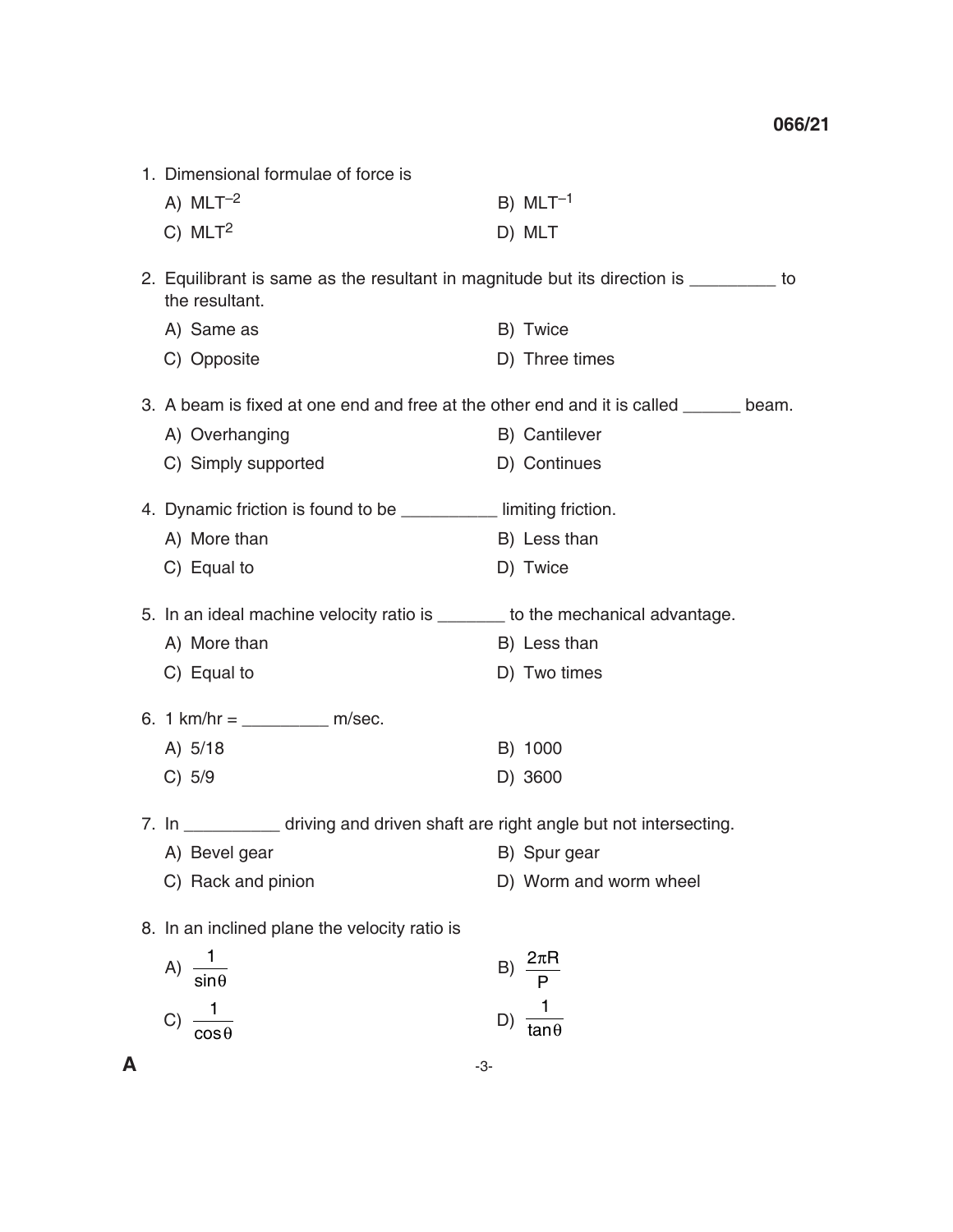| 1. Dimensional formulae of force is                                                                       |    |                        |  |
|-----------------------------------------------------------------------------------------------------------|----|------------------------|--|
| A) $MLT^{-2}$                                                                                             |    | B) $MLT^{-1}$          |  |
| $C)$ MLT <sup>2</sup>                                                                                     |    | D) MLT                 |  |
| 2. Equilibrant is same as the resultant in magnitude but its direction is __________ to<br>the resultant. |    |                        |  |
| A) Same as                                                                                                |    | B) Twice               |  |
| C) Opposite                                                                                               |    | D) Three times         |  |
| 3. A beam is fixed at one end and free at the other end and it is called ______ beam.                     |    |                        |  |
| A) Overhanging                                                                                            |    | B) Cantilever          |  |
| C) Simply supported                                                                                       |    | D) Continues           |  |
| 4. Dynamic friction is found to be __________ limiting friction.                                          |    |                        |  |
| A) More than                                                                                              |    | B) Less than           |  |
| C) Equal to                                                                                               |    | D) Twice               |  |
| 5. In an ideal machine velocity ratio is _______ to the mechanical advantage.                             |    |                        |  |
| A) More than                                                                                              |    | B) Less than           |  |
| C) Equal to                                                                                               |    | D) Two times           |  |
| 6. 1 km/hr = ____________ m/sec.                                                                          |    |                        |  |
| A) 5/18                                                                                                   |    | B) 1000                |  |
| C) 5/9                                                                                                    |    | D) 3600                |  |
| 7. In __________ driving and driven shaft are right angle but not intersecting.                           |    |                        |  |
| A) Bevel gear                                                                                             |    | B) Spur gear           |  |
| C) Rack and pinion                                                                                        |    | D) Worm and worm wheel |  |
| 8. In an inclined plane the velocity ratio is                                                             |    |                        |  |
| $rac{1}{\sin \theta}$<br>(A)                                                                              | B) | $2\pi R$               |  |
|                                                                                                           |    | P                      |  |
| $\mathbf{C}$<br>$cos\theta$                                                                               | D) | $tan \theta$           |  |

 $\mathsf{A}$   $\qquad \qquad$   $\Box$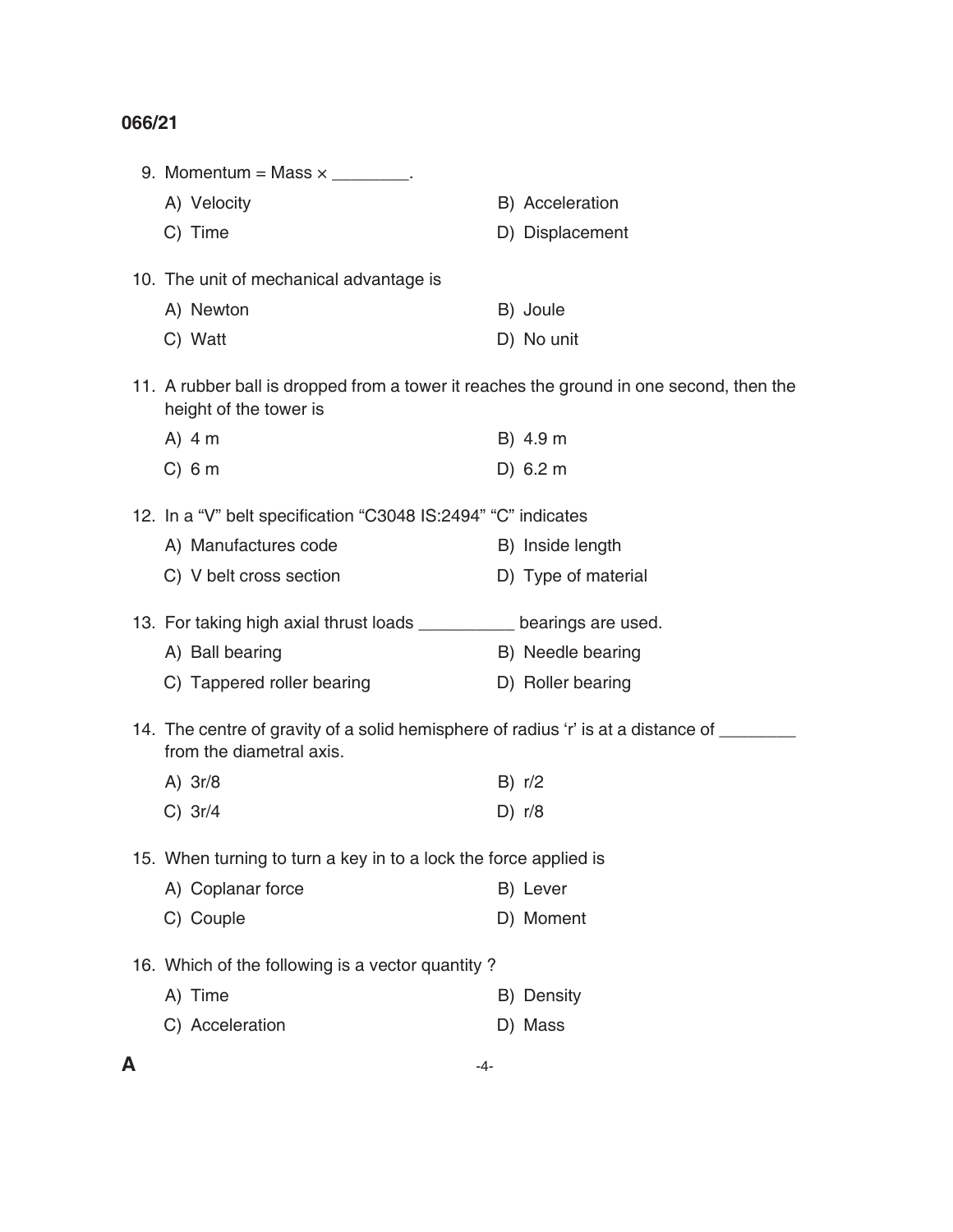| 9. Momentum = Mass $\times$ ________.                                                                                |                     |
|----------------------------------------------------------------------------------------------------------------------|---------------------|
| A) Velocity                                                                                                          | B) Acceleration     |
| C) Time                                                                                                              | D) Displacement     |
| 10. The unit of mechanical advantage is                                                                              |                     |
| A) Newton                                                                                                            | B) Joule            |
| C) Watt                                                                                                              | D) No unit          |
| 11. A rubber ball is dropped from a tower it reaches the ground in one second, then the<br>height of the tower is    |                     |
| $A)$ 4 m                                                                                                             | B) 4.9 m            |
| $C)$ 6 m                                                                                                             | D) 6.2 m            |
| 12. In a "V" belt specification "C3048 IS:2494" "C" indicates                                                        |                     |
| A) Manufactures code                                                                                                 | B) Inside length    |
| C) V belt cross section                                                                                              | D) Type of material |
| 13. For taking high axial thrust loads _________ bearings are used.                                                  |                     |
|                                                                                                                      |                     |
| A) Ball bearing                                                                                                      | B) Needle bearing   |
| C) Tappered roller bearing                                                                                           | D) Roller bearing   |
| 14. The centre of gravity of a solid hemisphere of radius 'r' is at a distance of ______<br>from the diametral axis. |                     |
| A) $3r/8$                                                                                                            | B) r/2              |
| $C)$ 3r/4                                                                                                            | D) $r/8$            |
| 15. When turning to turn a key in to a lock the force applied is                                                     |                     |
| A) Coplanar force                                                                                                    | B) Lever            |
| C) Couple                                                                                                            | D) Moment           |
| 16. Which of the following is a vector quantity?                                                                     |                     |
| A) Time                                                                                                              | B) Density          |
| C) Acceleration                                                                                                      | D) Mass             |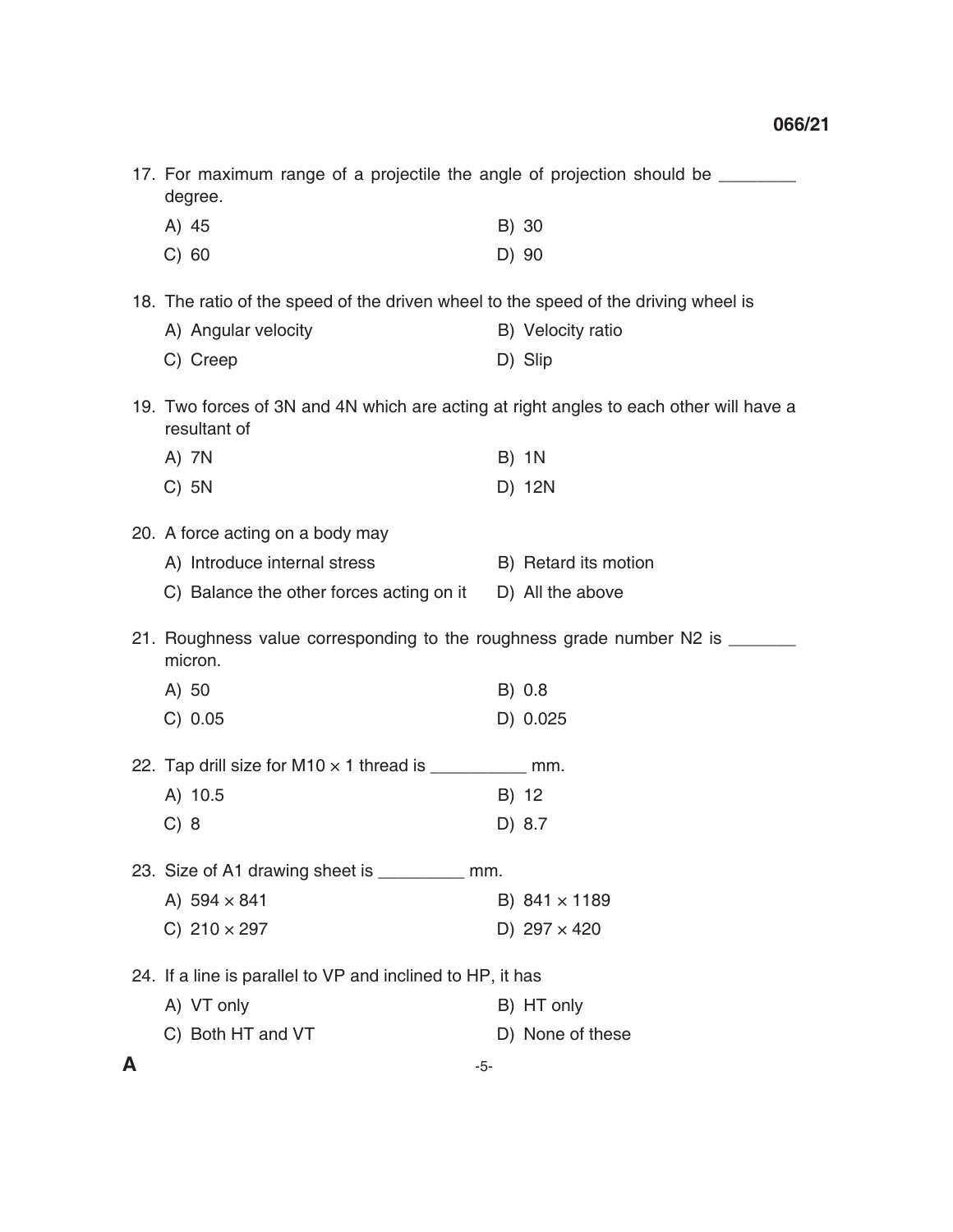|   | 17. For maximum range of a projectile the angle of projection should be ________<br>degree.            |  |                      |
|---|--------------------------------------------------------------------------------------------------------|--|----------------------|
|   | A) 45                                                                                                  |  | B) 30                |
|   | C) 60                                                                                                  |  | D) 90                |
|   | 18. The ratio of the speed of the driven wheel to the speed of the driving wheel is                    |  |                      |
|   | A) Angular velocity                                                                                    |  | B) Velocity ratio    |
|   | C) Creep                                                                                               |  | D) Slip              |
|   | 19. Two forces of 3N and 4N which are acting at right angles to each other will have a<br>resultant of |  |                      |
|   | A) 7N                                                                                                  |  | <b>B) 1N</b>         |
|   | $C)$ 5N                                                                                                |  | D) 12N               |
|   | 20. A force acting on a body may                                                                       |  |                      |
|   | A) Introduce internal stress                                                                           |  | B) Retard its motion |
|   | C) Balance the other forces acting on it                                                               |  | D) All the above     |
|   | 21. Roughness value corresponding to the roughness grade number N2 is _______<br>micron.               |  |                      |
|   | A) 50                                                                                                  |  | B) 0.8               |
|   | C) 0.05                                                                                                |  | D) 0.025             |
|   | 22. Tap drill size for M10 $\times$ 1 thread is ___________ mm.                                        |  |                      |
|   | A) 10.5                                                                                                |  | B) 12                |
|   | C) 8                                                                                                   |  | D) 8.7               |
|   | 23. Size of A1 drawing sheet is ___________ mm.                                                        |  |                      |
|   | A) $594 \times 841$                                                                                    |  | B) $841 \times 1189$ |
|   | C) $210 \times 297$                                                                                    |  | D) $297 \times 420$  |
|   | 24. If a line is parallel to VP and inclined to HP, it has                                             |  |                      |
|   | A) VT only                                                                                             |  | B) HT only           |
|   | C) Both HT and VT                                                                                      |  | D) None of these     |
| A | -5-                                                                                                    |  |                      |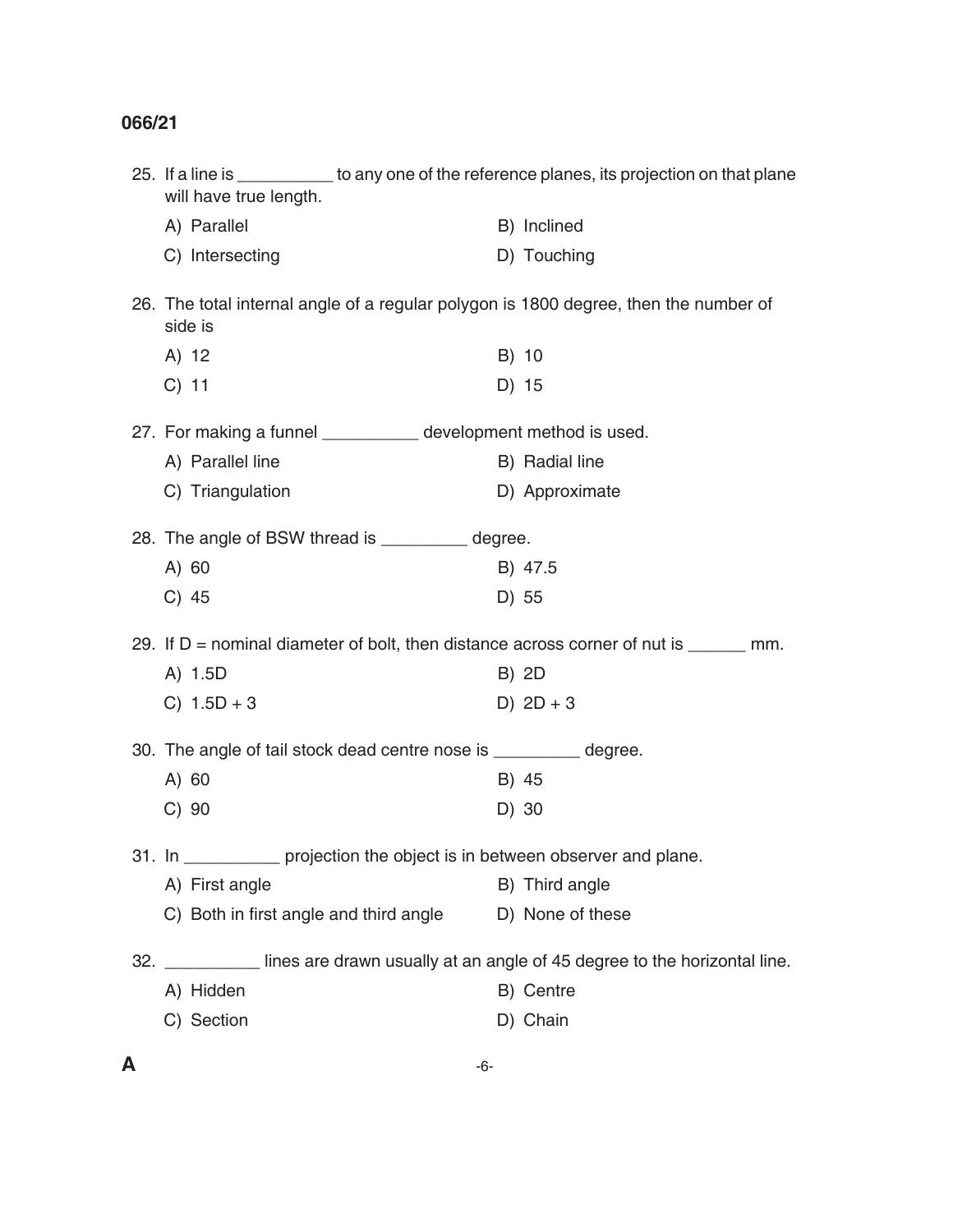| C) Section                             |                                                                    | D) Chain                                                                                              |
|----------------------------------------|--------------------------------------------------------------------|-------------------------------------------------------------------------------------------------------|
| A) Hidden                              |                                                                    | B) Centre                                                                                             |
|                                        |                                                                    | 32. Ines are drawn usually at an angle of 45 degree to the horizontal line.                           |
| C) Both in first angle and third angle |                                                                    | D) None of these                                                                                      |
| A) First angle                         |                                                                    | B) Third angle                                                                                        |
|                                        |                                                                    | projection the object is in between observer and plane.                                               |
| $C)$ 90                                |                                                                    | D) 30                                                                                                 |
| A) 60                                  |                                                                    | B) 45                                                                                                 |
|                                        | 30. The angle of tail stock dead centre nose is __________ degree. |                                                                                                       |
| C) $1.5D + 3$                          |                                                                    | D) $2D + 3$                                                                                           |
| A) 1.5D                                |                                                                    | B) 2D                                                                                                 |
|                                        |                                                                    | 29. If $D =$ nominal diameter of bolt, then distance across corner of nut is $\frac{1}{\sqrt{2}}$ mm. |
| $C)$ 45                                |                                                                    | D) 55                                                                                                 |
| $A)$ 60                                |                                                                    | B) 47.5                                                                                               |
|                                        | 28. The angle of BSW thread is __________ degree.                  |                                                                                                       |
| C) Triangulation                       |                                                                    | D) Approximate                                                                                        |
| A) Parallel line                       |                                                                    | B) Radial line                                                                                        |
|                                        | 27. For making a funnel ___________ development method is used.    |                                                                                                       |
| $C)$ 11                                |                                                                    | D) 15                                                                                                 |
| A) 12                                  |                                                                    | B) 10                                                                                                 |
| side is                                |                                                                    | 26. The total internal angle of a regular polygon is 1800 degree, then the number of                  |
| C) Intersecting                        |                                                                    | D) Touching                                                                                           |
| A) Parallel                            |                                                                    | B) Inclined                                                                                           |
| will have true length.                 |                                                                    | 25. If a line is ___________ to any one of the reference planes, its projection on that plane         |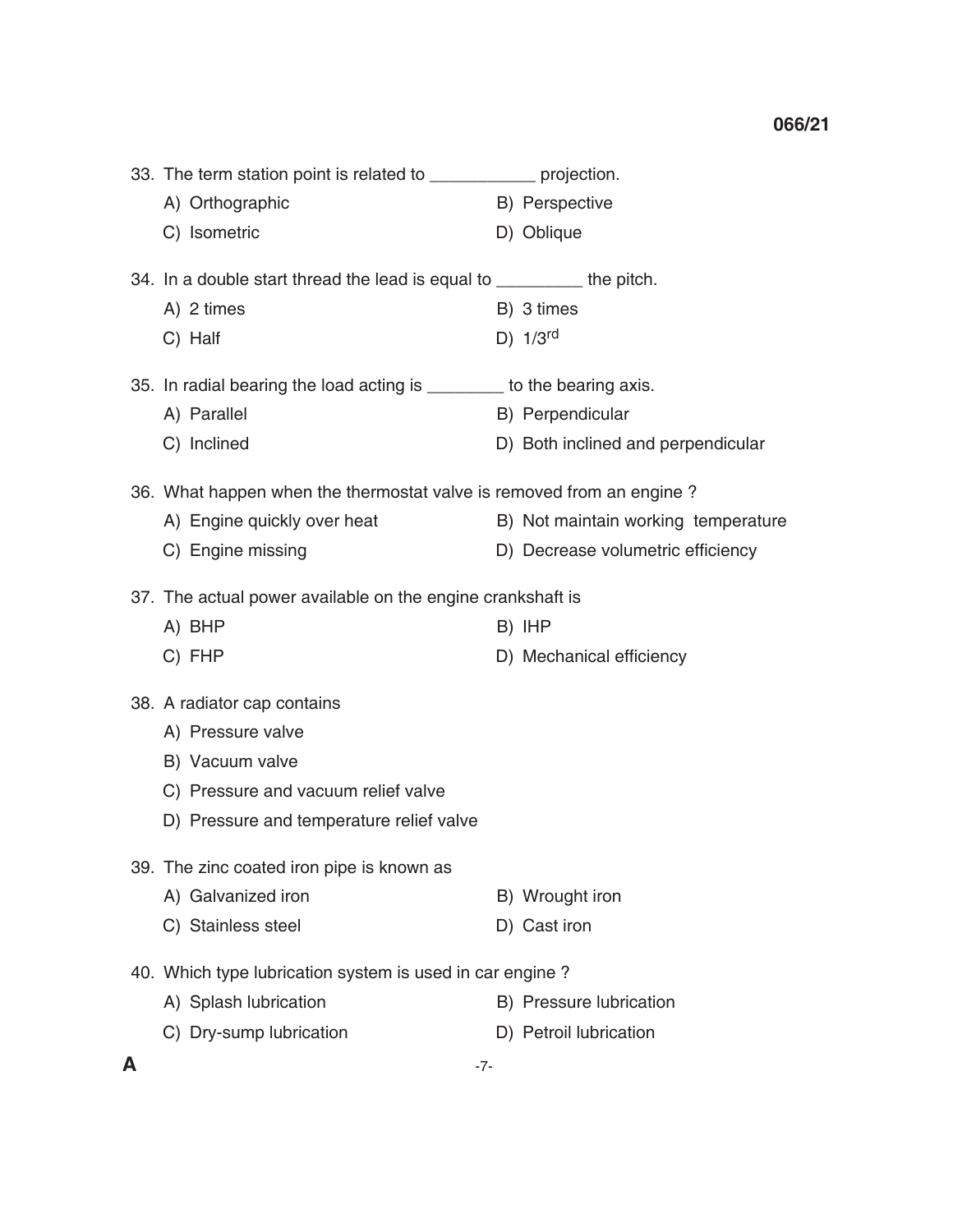| 33. The term station point is related to<br>projection. |                |  |  |
|---------------------------------------------------------|----------------|--|--|
| A) Orthographic                                         | B) Perspective |  |  |
| C) Isometric                                            | D) Oblique     |  |  |
| 34. In a double start thread the lead is equal to       | the pitch.     |  |  |

A) 2 times B) 3 times

C) Half D)  $1/3^{rd}$ 

35. In radial bearing the load acting is \_\_\_\_\_\_\_\_ to the bearing axis.

- A) Parallel B) Perpendicular
- C) Inclined **D**) Both inclined and perpendicular

36. What happen when the thermostat valve is removed from an engine ?

- A) Engine quickly over heat B) Not maintain working temperature
- C) Engine missing D) Decrease volumetric efficiency

37. The actual power available on the engine crankshaft is

- A) BHP B) IHP
- C) FHP D) Mechanical efficiency
- 38. A radiator cap contains
	- A) Pressure valve
	- B) Vacuum valve
	- C) Pressure and vacuum relief valve
	- D) Pressure and temperature relief valve
- 39. The zinc coated iron pipe is known as
	- A) Galvanized iron B) Wrought iron
	- C) Stainless steel D) Cast iron
- 40. Which type lubrication system is used in car engine ?
	- A) Splash lubrication B) Pressure lubrication
	- C) Dry-sump lubrication D) Petroil lubrication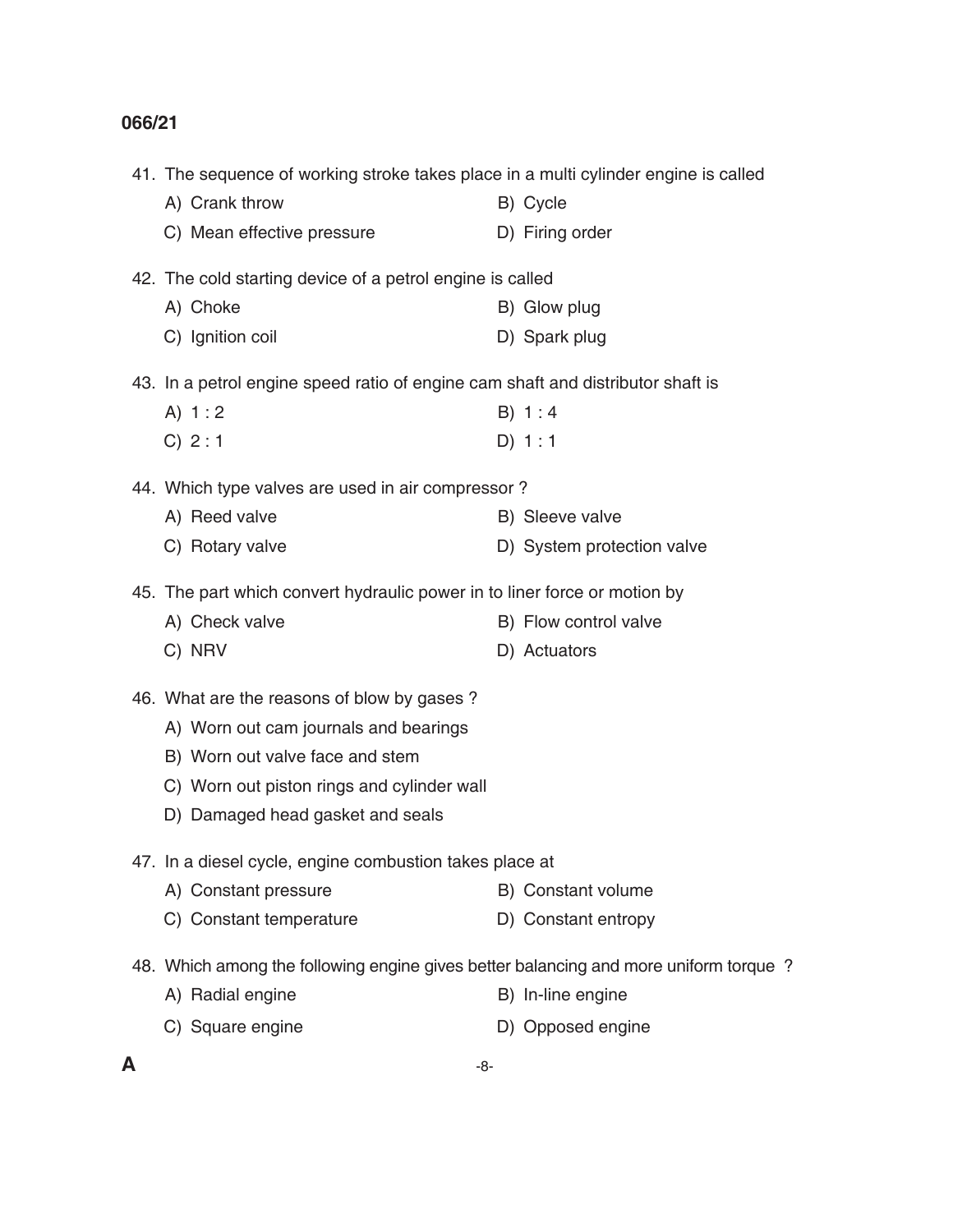| 41. The sequence of working stroke takes place in a multi cylinder engine is called   |                            |
|---------------------------------------------------------------------------------------|----------------------------|
| A) Crank throw                                                                        | B) Cycle                   |
| C) Mean effective pressure                                                            | D) Firing order            |
| 42. The cold starting device of a petrol engine is called                             |                            |
| A) Choke                                                                              | B) Glow plug               |
| C) Ignition coil                                                                      | D) Spark plug              |
| 43. In a petrol engine speed ratio of engine cam shaft and distributor shaft is       |                            |
| A) $1:2$                                                                              | B) 1:4                     |
| C) 2:1                                                                                | D) 1:1                     |
| 44. Which type valves are used in air compressor?                                     |                            |
| A) Reed valve                                                                         | B) Sleeve valve            |
| C) Rotary valve                                                                       | D) System protection valve |
| 45. The part which convert hydraulic power in to liner force or motion by             |                            |
| A) Check valve                                                                        | B) Flow control valve      |
| C) NRV                                                                                | D) Actuators               |
| 46. What are the reasons of blow by gases?                                            |                            |
| A) Worn out cam journals and bearings                                                 |                            |
| B) Worn out valve face and stem                                                       |                            |
| C) Worn out piston rings and cylinder wall                                            |                            |
| D) Damaged head gasket and seals                                                      |                            |
| 47. In a diesel cycle, engine combustion takes place at                               |                            |
| A) Constant pressure                                                                  | B) Constant volume         |
| C) Constant temperature                                                               | D) Constant entropy        |
| 48. Which among the following engine gives better balancing and more uniform torque ? |                            |
| A) Radial engine                                                                      | B) In-line engine          |
| C) Square engine                                                                      | D) Opposed engine          |
|                                                                                       |                            |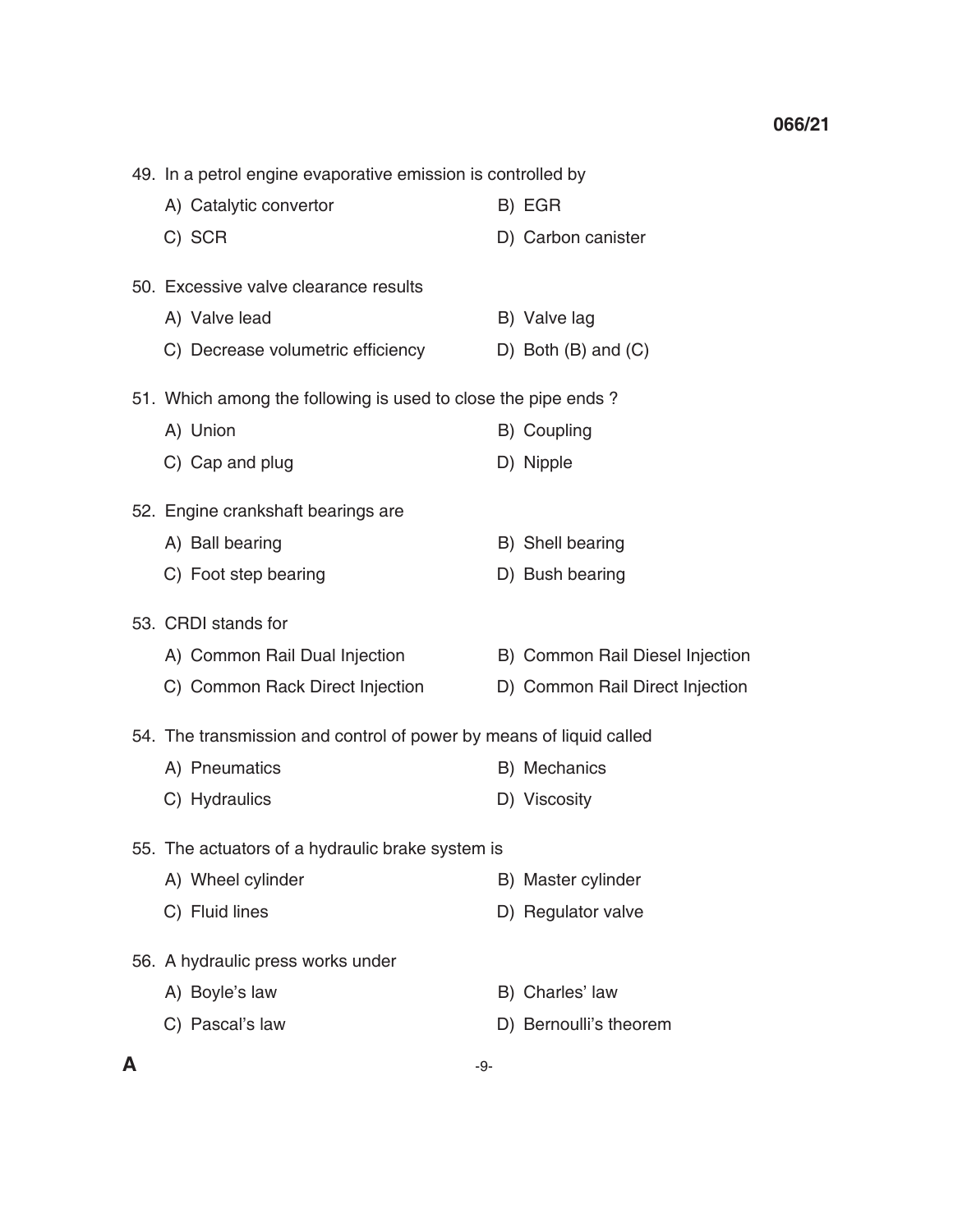49. In a petrol engine evaporative emission is controlled by A) Catalytic convertor B) EGR C) SCR D) Carbon canister 50. Excessive valve clearance results A) Valve lead B) Valve lag C) Decrease volumetric efficiency D) Both (B) and (C) 51. Which among the following is used to close the pipe ends ? A) Union B) Coupling C) Cap and plug D) Nipple 52. Engine crankshaft bearings are A) Ball bearing B) Shell bearing C) Foot step bearing D) Bush bearing 53. CRDI stands for A) Common Rail Dual Injection B) Common Rail Diesel Injection C) Common Rack Direct Injection D) Common Rail Direct Injection 54. The transmission and control of power by means of liquid called A) Pneumatics B) Mechanics C) Hydraulics D) Viscosity 55. The actuators of a hydraulic brake system is A) Wheel cylinder **B**) Master cylinder C) Fluid lines D) Regulator valve 56. A hydraulic press works under A) Boyle's law B) Charles' law C) Pascal's law D) Bernoulli's theorem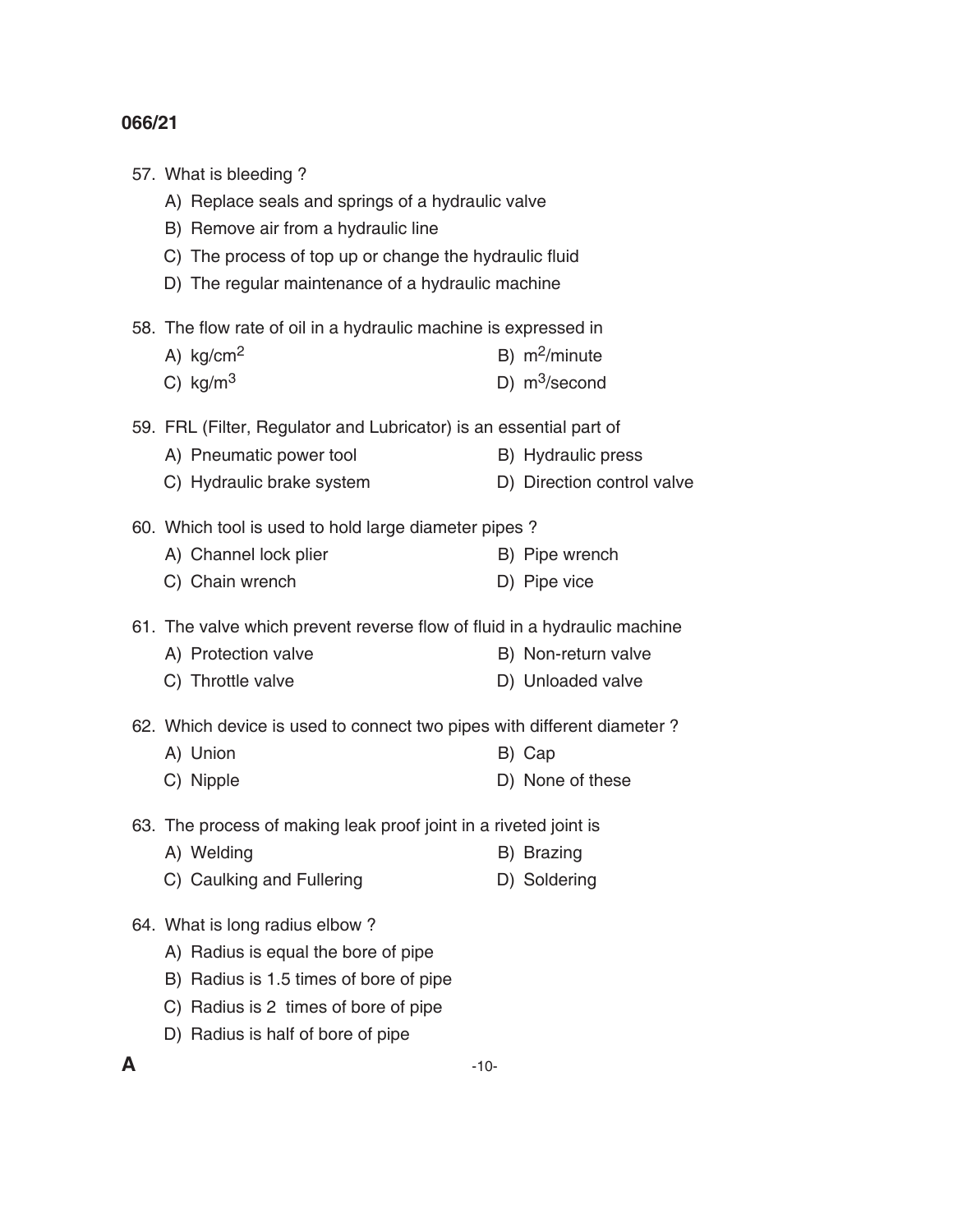|   | 57. What is bleeding?<br>A) Replace seals and springs of a hydraulic valve<br>B) Remove air from a hydraulic line<br>C) The process of top up or change the hydraulic fluid<br>D) The regular maintenance of a hydraulic machine |        |                                                  |
|---|----------------------------------------------------------------------------------------------------------------------------------------------------------------------------------------------------------------------------------|--------|--------------------------------------------------|
|   | 58. The flow rate of oil in a hydraulic machine is expressed in<br>A) $kg/cm2$<br>C) $\text{kg/m}^3$                                                                                                                             |        | B) $m^2/minute$<br>D) $m^3$ /second              |
|   | 59. FRL (Filter, Regulator and Lubricator) is an essential part of<br>A) Pneumatic power tool<br>C) Hydraulic brake system                                                                                                       |        | B) Hydraulic press<br>D) Direction control valve |
|   | 60. Which tool is used to hold large diameter pipes?<br>A) Channel lock plier<br>C) Chain wrench                                                                                                                                 |        | B) Pipe wrench<br>D) Pipe vice                   |
|   | 61. The valve which prevent reverse flow of fluid in a hydraulic machine<br>A) Protection valve<br>C) Throttle valve                                                                                                             |        | B) Non-return valve<br>D) Unloaded valve         |
|   | 62. Which device is used to connect two pipes with different diameter?<br>A) Union<br>C) Nipple                                                                                                                                  |        | B) Cap<br>D) None of these                       |
|   | 63. The process of making leak proof joint in a riveted joint is<br>A) Welding<br>C) Caulking and Fullering                                                                                                                      |        | B) Brazing<br>D) Soldering                       |
|   | 64. What is long radius elbow?<br>A) Radius is equal the bore of pipe<br>B) Radius is 1.5 times of bore of pipe<br>C) Radius is 2 times of bore of pipe<br>D) Radius is half of bore of pipe                                     |        |                                                  |
| А |                                                                                                                                                                                                                                  | $-10-$ |                                                  |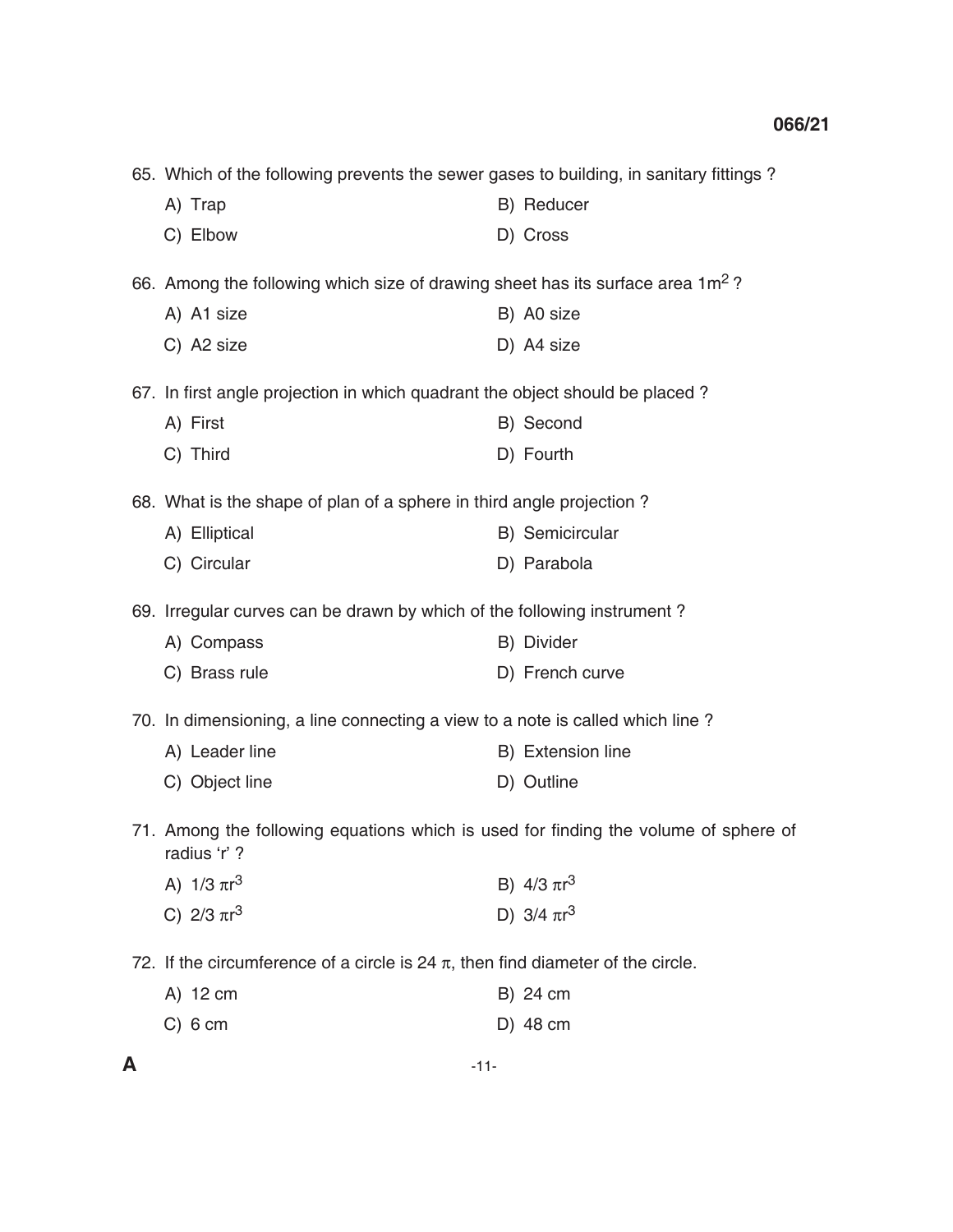| 65. Which of the following prevents the sewer gases to building, in sanitary fittings?              |  |                   |
|-----------------------------------------------------------------------------------------------------|--|-------------------|
| A) Trap                                                                                             |  | B) Reducer        |
| C) Elbow                                                                                            |  | D) Cross          |
| 66. Among the following which size of drawing sheet has its surface area 1m <sup>2</sup> ?          |  |                   |
| A) A1 size                                                                                          |  | B) A0 size        |
| C) A2 size                                                                                          |  | D) A4 size        |
| 67. In first angle projection in which quadrant the object should be placed?                        |  |                   |
| A) First                                                                                            |  | B) Second         |
| C) Third                                                                                            |  | D) Fourth         |
| 68. What is the shape of plan of a sphere in third angle projection?                                |  |                   |
| A) Elliptical                                                                                       |  | B) Semicircular   |
| C) Circular                                                                                         |  | D) Parabola       |
| 69. Irregular curves can be drawn by which of the following instrument?                             |  |                   |
| A) Compass                                                                                          |  | B) Divider        |
| C) Brass rule                                                                                       |  | D) French curve   |
| 70. In dimensioning, a line connecting a view to a note is called which line?                       |  |                   |
| A) Leader line                                                                                      |  | B) Extension line |
| C) Object line                                                                                      |  | D) Outline        |
| 71. Among the following equations which is used for finding the volume of sphere of<br>radius 'r' ? |  |                   |
| A) $1/3 \pi r^3$                                                                                    |  | B) $4/3 \pi r^3$  |
| C) $2/3 \pi r^3$                                                                                    |  | D) $3/4 \pi r^3$  |
| 72. If the circumference of a circle is 24 $\pi$ , then find diameter of the circle.                |  |                   |
| A) 12 cm                                                                                            |  | B) 24 cm          |
| $C)$ 6 cm                                                                                           |  | D) 48 cm          |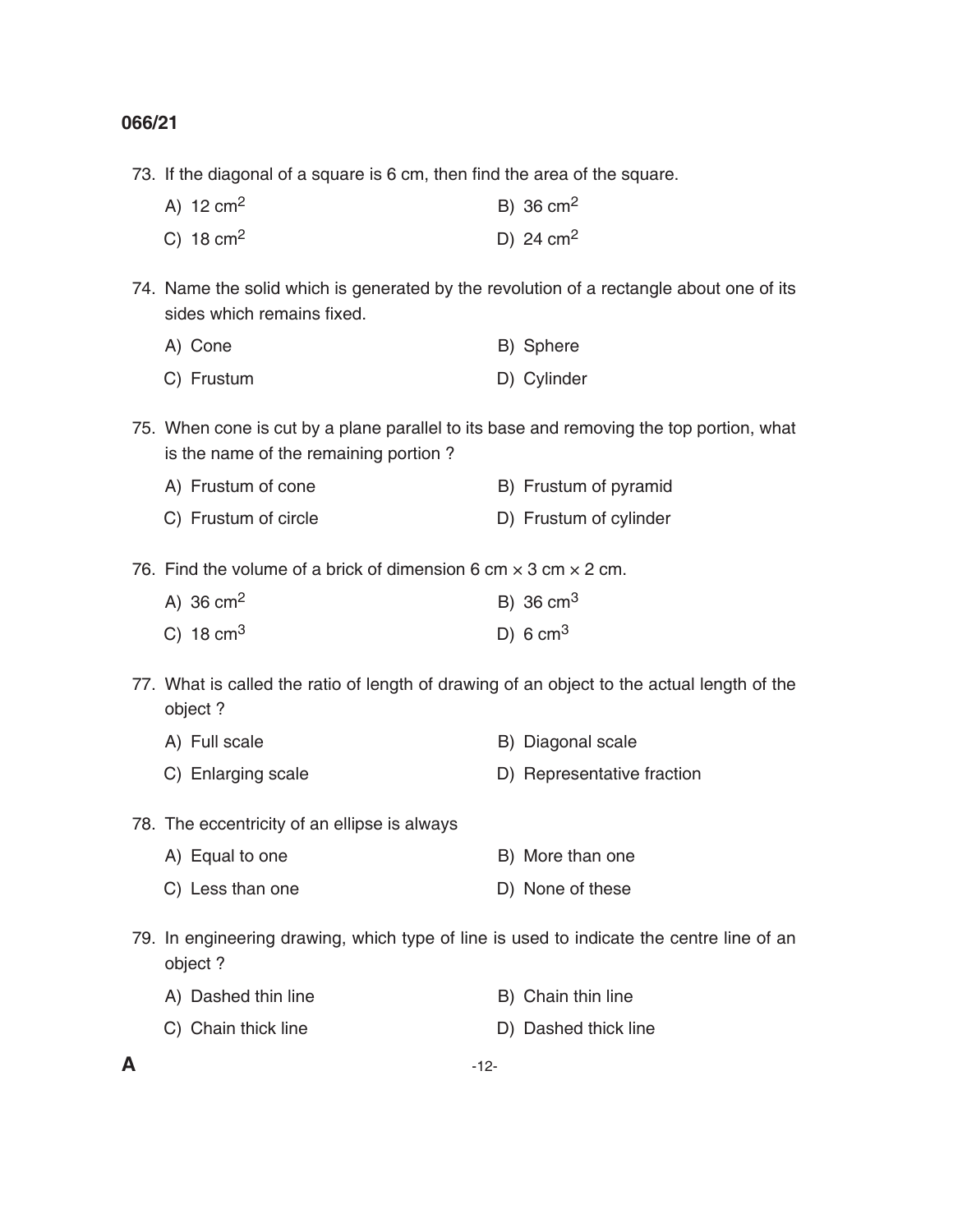73. If the diagonal of a square is 6 cm, then find the area of the square.

| A) $12 \text{ cm}^2$ | B) 36 $cm2$         |
|----------------------|---------------------|
| C) $18 \text{ cm}^2$ | D) 24 $\text{cm}^2$ |

 74. Name the solid which is generated by the revolution of a rectangle about one of its sides which remains fixed.

| A) Cone    | B) Sphere   |
|------------|-------------|
| C) Frustum | D) Cylinder |

- 75. When cone is cut by a plane parallel to its base and removing the top portion, what is the name of the remaining portion ?
	- A) Frustum of cone B) Frustum of pyramid
	- C) Frustum of circle D) Frustum of cylinder
- 76. Find the volume of a brick of dimension 6 cm  $\times$  3 cm  $\times$  2 cm.

| A) 36 $cm2$          | B) 36 $cm3$ |
|----------------------|-------------|
| C) $18 \text{ cm}^3$ | D) 6 $cm3$  |

- 77. What is called the ratio of length of drawing of an object to the actual length of the object ?
	- A) Full scale B) Diagonal scale
	- C) Enlarging scale D) Representative fraction
- 78. The eccentricity of an ellipse is always
	- A) Equal to one B) More than one
	- C) Less than one D) None of these
- 79. In engineering drawing, which type of line is used to indicate the centre line of an object ?

| A) Dashed thin line | B) Chain thin line |
|---------------------|--------------------|
|                     | .                  |

- C) Chain thick line D) Dashed thick line
-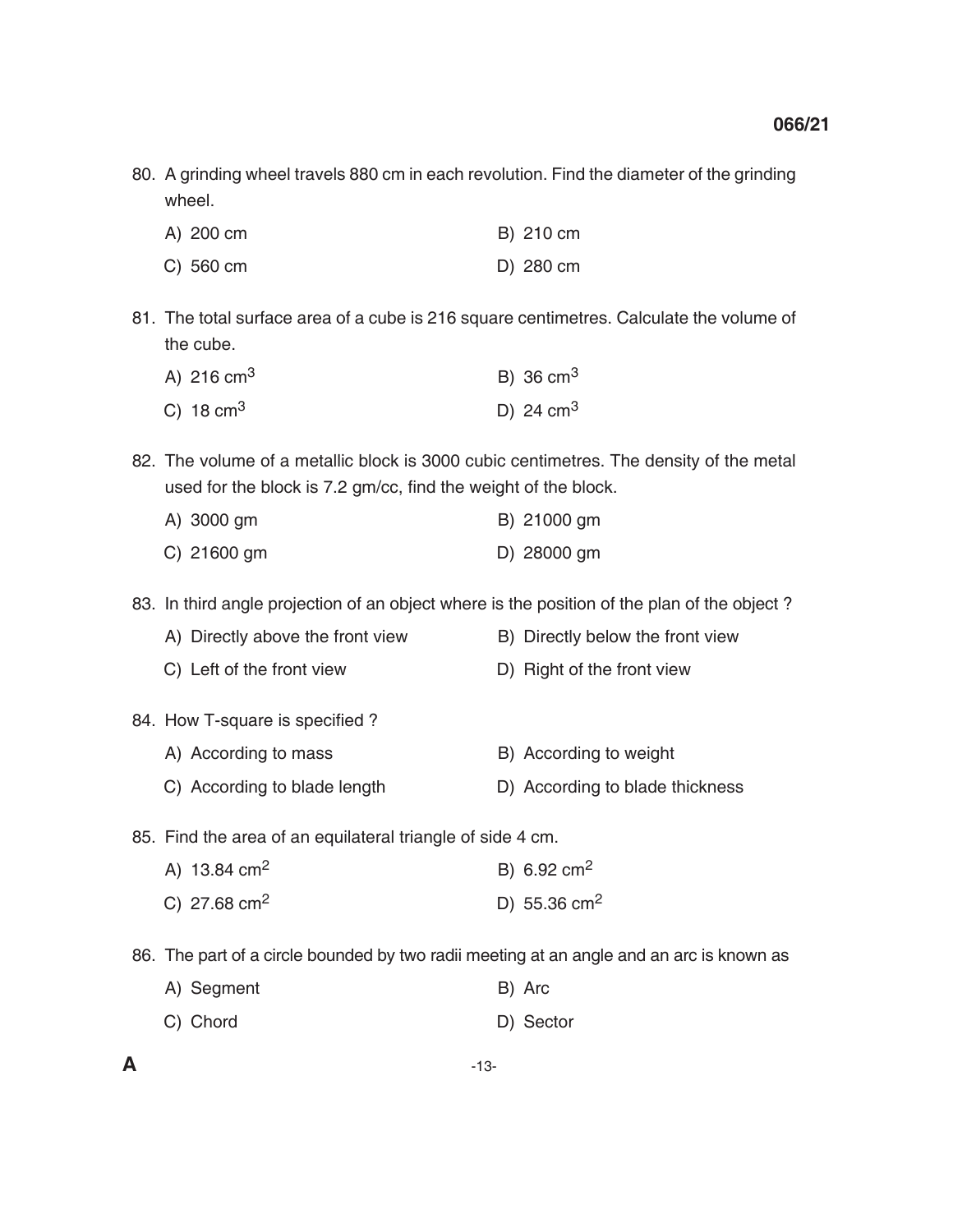80. A grinding wheel travels 880 cm in each revolution. Find the diameter of the grinding wheel.

| A) 200 cm | B) 210 cm |
|-----------|-----------|
| C) 560 cm | D) 280 cm |

 81. The total surface area of a cube is 216 square centimetres. Calculate the volume of the cube.

| A) 216 $cm3$         | B) 36 $cm3$      |
|----------------------|------------------|
| C) $18 \text{ cm}^3$ | D) 24 $\rm cm^3$ |

 82. The volume of a metallic block is 3000 cubic centimetres. The density of the metal used for the block is 7.2 gm/cc, find the weight of the block.

| $A)$ 3000 gm  | B) 21000 gm |  |  |
|---------------|-------------|--|--|
| $C)$ 21600 gm | D) 28000 gm |  |  |

83. In third angle projection of an object where is the position of the plan of the object ?

- A) Directly above the front view B) Directly below the front view
- C) Left of the front view D) Right of the front view
- 84. How T-square is specified ?
	- A) According to mass B) According to weight
	- C) According to blade length D) According to blade thickness

85. Find the area of an equilateral triangle of side 4 cm.

| A) 13.84 $\text{cm}^2$ | B) 6.92 cm <sup>2</sup>  |  |
|------------------------|--------------------------|--|
| C) 27.68 $cm2$         | D) 55.36 cm <sup>2</sup> |  |

86. The part of a circle bounded by two radii meeting at an angle and an arc is known as

| A) Segment | B) Arc    |
|------------|-----------|
| C) Chord   | D) Sector |

**A** -13-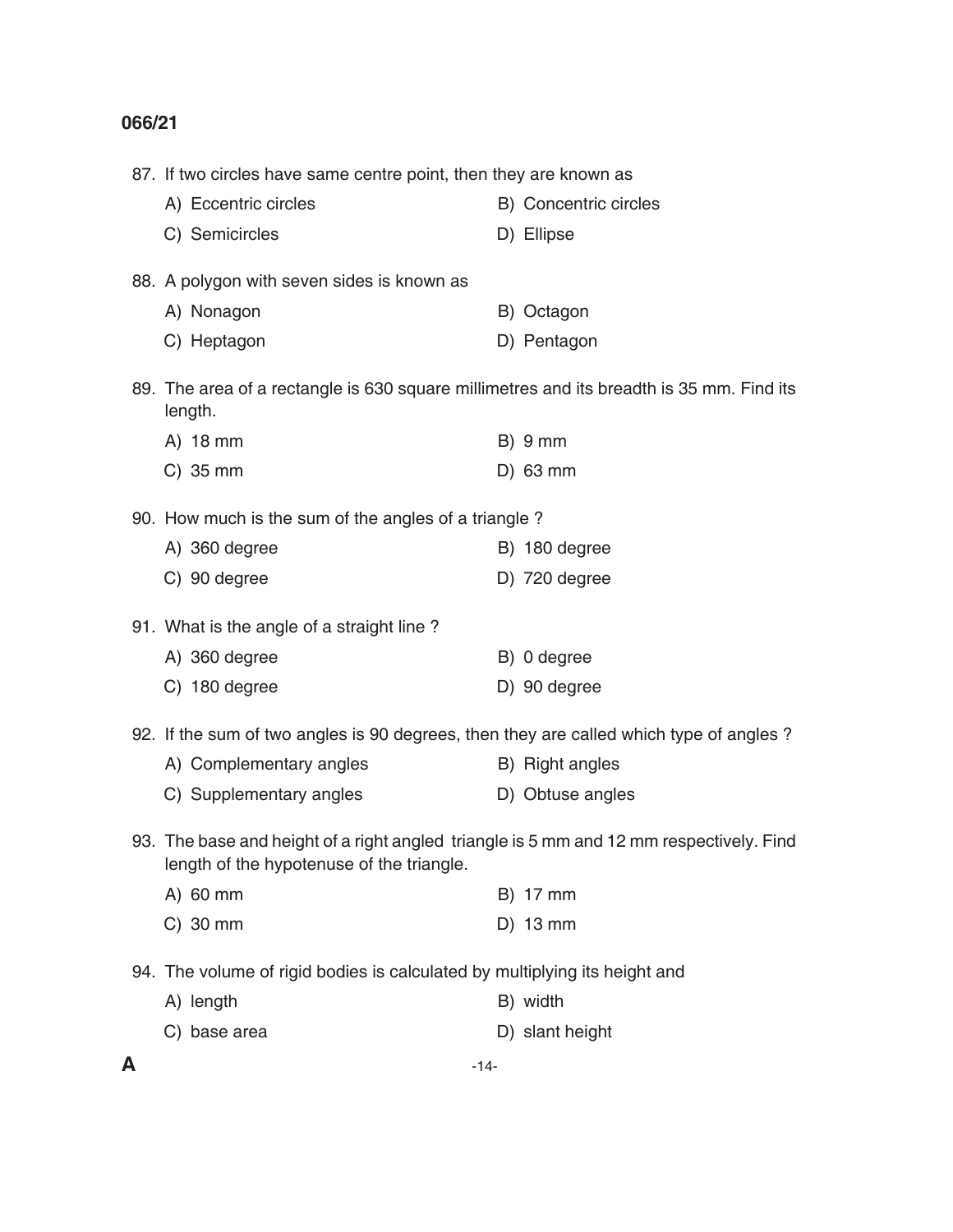|   | 87. If two circles have same centre point, then they are known as                                                                    |  |                       |
|---|--------------------------------------------------------------------------------------------------------------------------------------|--|-----------------------|
|   | A) Eccentric circles                                                                                                                 |  | B) Concentric circles |
|   | C) Semicircles                                                                                                                       |  | D) Ellipse            |
|   | 88. A polygon with seven sides is known as                                                                                           |  |                       |
|   | A) Nonagon                                                                                                                           |  | B) Octagon            |
|   | C) Heptagon                                                                                                                          |  | D) Pentagon           |
|   | 89. The area of a rectangle is 630 square millimetres and its breadth is 35 mm. Find its<br>length.                                  |  |                       |
|   | A) 18 mm                                                                                                                             |  | $B)$ 9 mm             |
|   | $C)$ 35 mm                                                                                                                           |  | $D)$ 63 mm            |
|   | 90. How much is the sum of the angles of a triangle?                                                                                 |  |                       |
|   | A) 360 degree                                                                                                                        |  | B) 180 degree         |
|   | C) 90 degree                                                                                                                         |  | D) 720 degree         |
|   | 91. What is the angle of a straight line?                                                                                            |  |                       |
|   | A) 360 degree                                                                                                                        |  | B) 0 degree           |
|   | C) 180 degree                                                                                                                        |  | D) 90 degree          |
|   | 92. If the sum of two angles is 90 degrees, then they are called which type of angles?                                               |  |                       |
|   | A) Complementary angles                                                                                                              |  | B) Right angles       |
|   | C) Supplementary angles                                                                                                              |  | D) Obtuse angles      |
|   | 93. The base and height of a right angled triangle is 5 mm and 12 mm respectively. Find<br>length of the hypotenuse of the triangle. |  |                       |
|   | A) 60 mm                                                                                                                             |  | B) 17 mm              |
|   | $C)$ 30 mm                                                                                                                           |  | $D)$ 13 mm            |
|   | 94. The volume of rigid bodies is calculated by multiplying its height and                                                           |  |                       |
|   | A) length                                                                                                                            |  | B) width              |
|   | C) base area                                                                                                                         |  | D) slant height       |
| A | $-14-$                                                                                                                               |  |                       |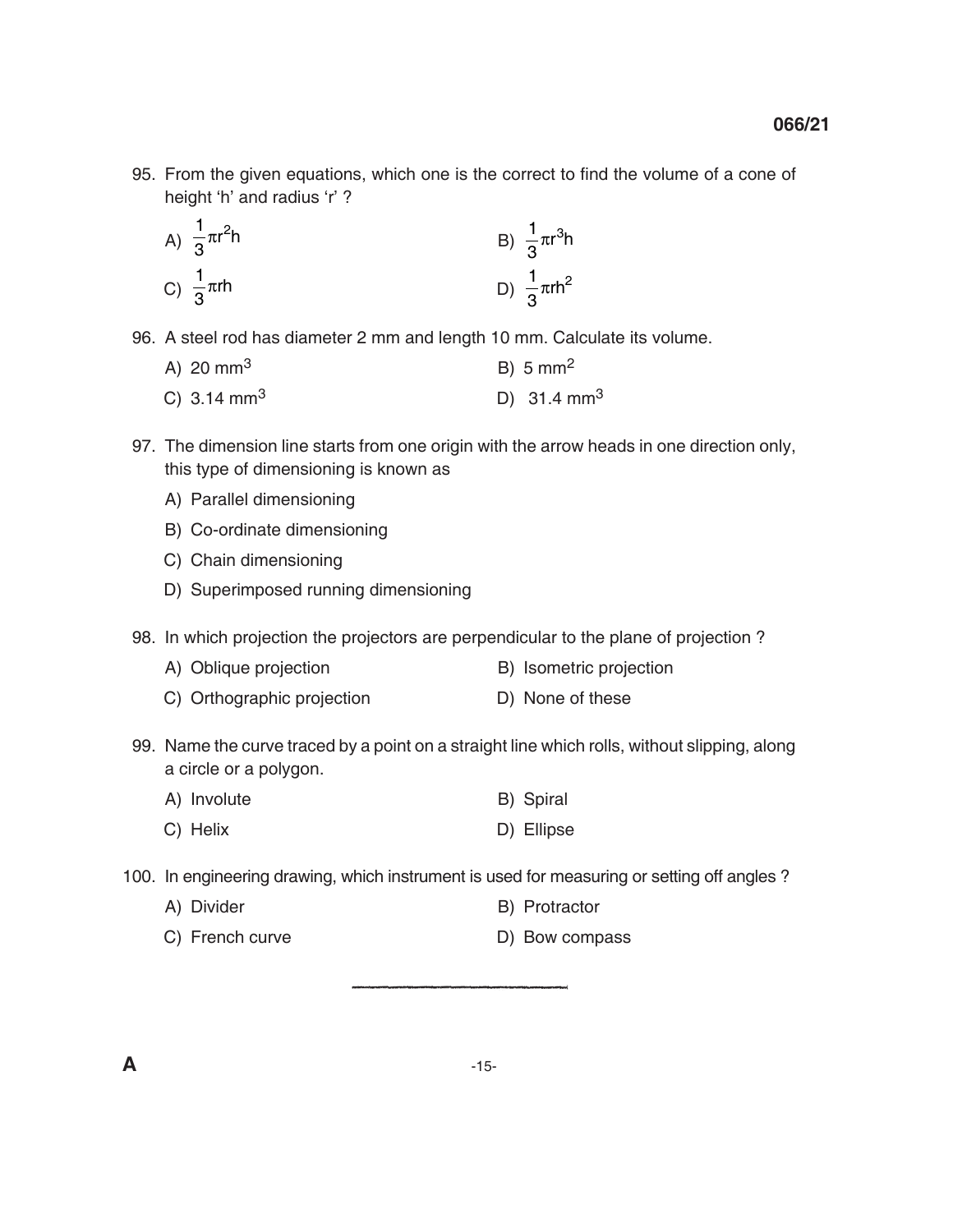95. From the given equations, which one is the correct to find the volume of a cone of height 'h' and radius 'r' ?

A) 
$$
\frac{1}{3}\pi r^2 h
$$
  
\nB)  $\frac{1}{3}\pi r^3 h$   
\nC)  $\frac{1}{3}\pi rh$   
\nD)  $\frac{1}{3}\pi rh^2$ 

- 96. A steel rod has diameter 2 mm and length 10 mm. Calculate its volume.
	- A) 20 mm<sup>3</sup> B) 5 mm<sup>2</sup>
	- C)  $3.14 \text{ mm}^3$  D)  $31.4 \text{ mm}^3$
- 97. The dimension line starts from one origin with the arrow heads in one direction only, this type of dimensioning is known as
	- A) Parallel dimensioning
	- B) Co-ordinate dimensioning
	- C) Chain dimensioning
	- D) Superimposed running dimensioning
- 98. In which projection the projectors are perpendicular to the plane of projection ?
	- A) Oblique projection B) Isometric projection
	- C) Orthographic projection D) None of these
- 99. Name the curve traced by a point on a straight line which rolls, without slipping, along a circle or a polygon.
	- A) Involute B) Spiral
	- C) Helix D) Ellipse
- 100. In engineering drawing, which instrument is used for measuring or setting off angles ?
	- A) Divider B) Protractor
	- C) French curve D) Bow compass